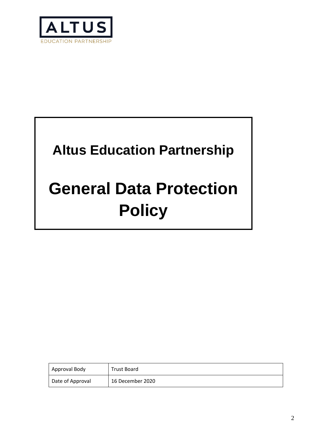

# **Altus Education Partnership**

# **General Data Protection Policy**

| Approval Body    | Trust Board      |
|------------------|------------------|
| Date of Approval | 16 December 2020 |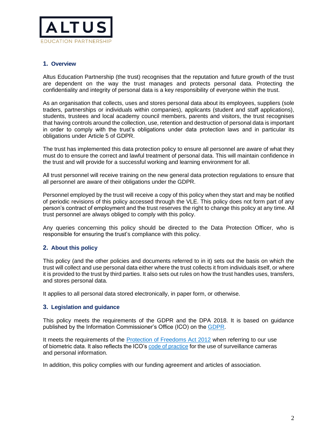

# **1. Overview**

Altus Education Partnership (the trust) recognises that the reputation and future growth of the trust are dependent on the way the trust manages and protects personal data. Protecting the confidentiality and integrity of personal data is a key responsibility of everyone within the trust.

As an organisation that collects, uses and stores personal data about its employees, suppliers (sole traders, partnerships or individuals within companies), applicants (student and staff applications), students, trustees and local academy council members, parents and visitors, the trust recognises that having controls around the collection, use, retention and destruction of personal data is important in order to comply with the trust's obligations under data protection laws and in particular its obligations under Article 5 of GDPR.

The trust has implemented this data protection policy to ensure all personnel are aware of what they must do to ensure the correct and lawful treatment of personal data. This will maintain confidence in the trust and will provide for a successful working and learning environment for all.

All trust personnel will receive training on the new general data protection regulations to ensure that all personnel are aware of their obligations under the GDPR.

Personnel employed by the trust will receive a copy of this policy when they start and may be notified of periodic revisions of this policy accessed through the VLE. This policy does not form part of any person's contract of employment and the trust reserves the right to change this policy at any time. All trust personnel are always obliged to comply with this policy.

Any queries concerning this policy should be directed to the Data Protection Officer, who is responsible for ensuring the trust's compliance with this policy.

# **2. About this policy**

This policy (and the other policies and documents referred to in it) sets out the basis on which the trust will collect and use personal data either where the trust collects it from individuals itself, or where it is provided to the trust by third parties. It also sets out rules on how the trust handles uses, transfers, and stores personal data.

It applies to all personal data stored electronically, in paper form, or otherwise.

#### **3. Legislation and guidance**

This policy meets the requirements of the GDPR and the DPA 2018. It is based on guidance published by the Information Commissioner's Office (ICO) on the [GDPR.](about:blank)

It meets the requirements of the [Protection of Freedoms Act 2012](about:blank) when referring to our use of biometric data. It also reflects the ICO's [code of practice](about:blank) for the use of surveillance cameras and personal information.

In addition, this policy complies with our funding agreement and articles of association.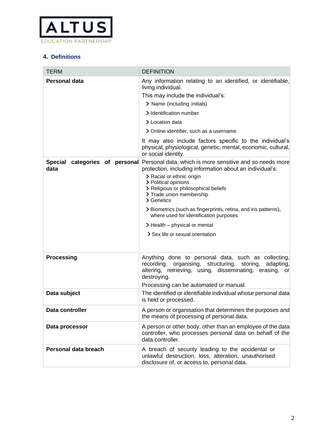

# **4. Definitions**

| <b>TERM</b>                                      | <b>DEFINITION</b>                                                                                                                                                                                                                                                                                                              |
|--------------------------------------------------|--------------------------------------------------------------------------------------------------------------------------------------------------------------------------------------------------------------------------------------------------------------------------------------------------------------------------------|
| Personal data                                    | Any information relating to an identified, or identifiable,<br>living individual.                                                                                                                                                                                                                                              |
|                                                  | This may include the individual's:                                                                                                                                                                                                                                                                                             |
|                                                  | > Name (including initials)                                                                                                                                                                                                                                                                                                    |
|                                                  | > Identification number                                                                                                                                                                                                                                                                                                        |
|                                                  | > Location data                                                                                                                                                                                                                                                                                                                |
|                                                  | > Online identifier, such as a username                                                                                                                                                                                                                                                                                        |
|                                                  | It may also include factors specific to the individual's<br>physical, physiological, genetic, mental, economic, cultural,<br>or social identity.                                                                                                                                                                               |
| <b>Special</b><br>categories of personal<br>data | Personal data, which is more sensitive and so needs more<br>protection, including information about an individual's:<br>> Racial or ethnic origin<br>> Political opinions<br>> Religious or philosophical beliefs<br>> Trade union membership<br>> Genetics<br>> Biometrics (such as fingerprints, retina, and iris patterns), |
|                                                  | where used for identification purposes                                                                                                                                                                                                                                                                                         |
|                                                  | $\blacktriangleright$ Health – physical or mental                                                                                                                                                                                                                                                                              |
|                                                  | > Sex life or sexual orientation                                                                                                                                                                                                                                                                                               |
|                                                  |                                                                                                                                                                                                                                                                                                                                |
| <b>Processing</b>                                | Anything done to personal data, such as collecting,<br>organising, structuring, storing,<br>recording,<br>adapting,<br>altering, retrieving, using, disseminating, erasing, or<br>destroying.                                                                                                                                  |
|                                                  | Processing can be automated or manual.                                                                                                                                                                                                                                                                                         |
| Data subject                                     | The identified or identifiable individual whose personal data<br>is held or processed.                                                                                                                                                                                                                                         |
| Data controller                                  | A person or organisation that determines the purposes and<br>the means of processing of personal data.                                                                                                                                                                                                                         |
| Data processor                                   | A person or other body, other than an employee of the data<br>controller, who processes personal data on behalf of the<br>data controller.                                                                                                                                                                                     |
| Personal data breach                             | A breach of security leading to the accidental or<br>unlawful destruction, loss, alteration, unauthorised<br>disclosure of, or access to, personal data.                                                                                                                                                                       |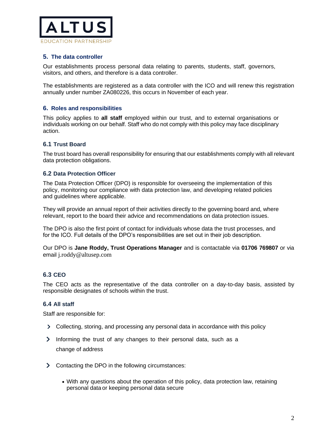

# **5. The data controller**

Our establishments process personal data relating to parents, students, staff, governors, visitors, and others, and therefore is a data controller.

The establishments are registered as a data controller with the ICO and will renew this registration annually under number ZA080226, this occurs in November of each year.

# **6. Roles and responsibilities**

This policy applies to **all staff** employed within our trust, and to external organisations or individuals working on our behalf. Staff who do not comply with this policy may face disciplinary action.

# **6.1 Trust Board**

The trust board has overall responsibility for ensuring that our establishments comply with all relevant data protection obligations.

### **6.2 Data Protection Officer**

The Data Protection Officer (DPO) is responsible for overseeing the implementation of this policy, monitoring our compliance with data protection law, and developing related policies and guidelines where applicable.

They will provide an annual report of their activities directly to the governing board and, where relevant, report to the board their advice and recommendations on data protection issues.

The DPO is also the first point of contact for individuals whose data the trust processes, and for the ICO. Full details of the DPO's responsibilities are set out in their job description.

Our DPO is **Jane Roddy, Trust Operations Manager** and is contactable via **01706 769807** or via email j.roddy@altusep.com

# **6.3 CEO**

The CEO acts as the representative of the data controller on a day-to-day basis, assisted by responsible designates of schools within the trust.

# **6.4 All staff**

Staff are responsible for:

- Collecting, storing, and processing any personal data in accordance with this policy
- $\sum_{i=1}^{n}$ Informing the trust of any changes to their personal data, such as a change of address
- S Contacting the DPO in the following circumstances:
	- With any questions about the operation of this policy, data protection law, retaining personal data or keeping personal data secure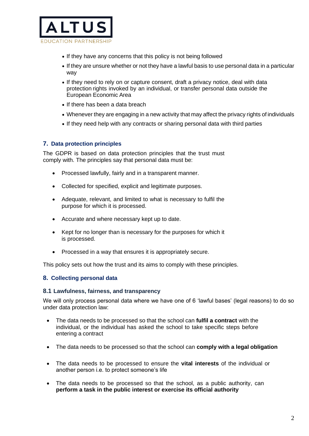

- If they have any concerns that this policy is not being followed
- If they are unsure whether or not they have a lawful basis to use personal data in a particular way
- If they need to rely on or capture consent, draft a privacy notice, deal with data protection rights invoked by an individual, or transfer personal data outside the European Economic Area
- If there has been a data breach
- Whenever they are engaging in a new activity that may affect the privacy rights of individuals
- If they need help with any contracts or sharing personal data with third parties

# **7. Data protection principles**

The GDPR is based on data protection principles that the trust must comply with. The principles say that personal data must be:

- Processed lawfully, fairly and in a transparent manner.
- Collected for specified, explicit and legitimate purposes.
- Adequate, relevant, and limited to what is necessary to fulfil the purpose for which it is processed.
- Accurate and where necessary kept up to date.
- Kept for no longer than is necessary for the purposes for which it is processed.
- Processed in a way that ensures it is appropriately secure.

This policy sets out how the trust and its aims to comply with these principles.

# **8. Collecting personal data**

#### **8.1 Lawfulness, fairness, and transparency**

We will only process personal data where we have one of 6 'lawful bases' (legal reasons) to do so under data protection law:

- The data needs to be processed so that the school can **fulfil a contract** with the individual, or the individual has asked the school to take specific steps before entering a contract
- The data needs to be processed so that the school can **comply with a legal obligation**
- The data needs to be processed to ensure the **vital interests** of the individual or another person i.e. to protect someone's life
- The data needs to be processed so that the school, as a public authority, can **perform a task in the public interest or exercise its official authority**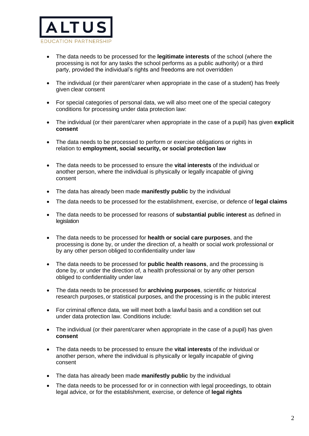

- The data needs to be processed for the **legitimate interests** of the school (where the processing is not for any tasks the school performs as a public authority) or a third party, provided the individual's rights and freedoms are not overridden
- The individual (or their parent/carer when appropriate in the case of a student) has freely given clear consent
- For special categories of personal data, we will also meet one of the special category conditions for processing under data protection law:
- The individual (or their parent/carer when appropriate in the case of a pupil) has given **explicit consent**
- The data needs to be processed to perform or exercise obligations or rights in relation to **employment, social security, or social protection law**
- The data needs to be processed to ensure the **vital interests** of the individual or another person, where the individual is physically or legally incapable of giving consent
- The data has already been made **manifestly public** by the individual
- The data needs to be processed for the establishment, exercise, or defence of **legal claims**
- The data needs to be processed for reasons of **substantial public interest** as defined in legislation
- The data needs to be processed for **health or social care purposes**, and the processing is done by, or under the direction of, a health or social work professional or by any other person obliged to confidentiality under law
- The data needs to be processed for **public health reasons**, and the processing is done by, or under the direction of, a health professional or by any other person obliged to confidentiality under law
- The data needs to be processed for **archiving purposes**, scientific or historical research purposes, or statistical purposes, and the processing is in the public interest
- For criminal offence data, we will meet both a lawful basis and a condition set out under data protection law. Conditions include:
- The individual (or their parent/carer when appropriate in the case of a pupil) has given **consent**
- The data needs to be processed to ensure the **vital interests** of the individual or another person, where the individual is physically or legally incapable of giving consent
- The data has already been made **manifestly public** by the individual
- The data needs to be processed for or in connection with legal proceedings, to obtain legal advice, or for the establishment, exercise, or defence of **legal rights**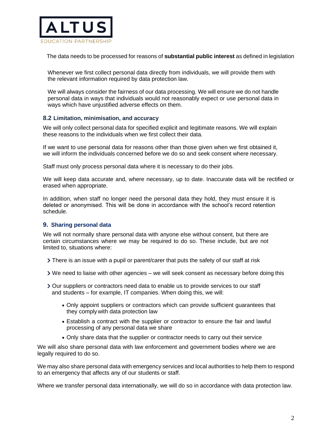

The data needs to be processed for reasons of **substantial public interest** as defined in legislation

Whenever we first collect personal data directly from individuals, we will provide them with the relevant information required by data protection law.

We will always consider the fairness of our data processing. We will ensure we do not handle personal data in ways that individuals would not reasonably expect or use personal data in ways which have unjustified adverse effects on them.

### **8.2 Limitation, minimisation, and accuracy**

We will only collect personal data for specified explicit and legitimate reasons. We will explain these reasons to the individuals when we first collect their data.

If we want to use personal data for reasons other than those given when we first obtained it, we will inform the individuals concerned before we do so and seek consent where necessary.

Staff must only process personal data where it is necessary to do their jobs.

We will keep data accurate and, where necessary, up to date. Inaccurate data will be rectified or erased when appropriate.

In addition, when staff no longer need the personal data they hold, they must ensure it is deleted or anonymised. This will be done in accordance with the school's record retention schedule.

#### **9. Sharing personal data**

We will not normally share personal data with anyone else without consent, but there are certain circumstances where we may be required to do so. These include, but are not limited to, situations where:

- There is an issue with a pupil or parent/carer that puts the safety of our staff at risk
- We need to liaise with other agencies we will seek consent as necessary before doing this
- Our suppliers or contractors need data to enable us to provide services to our staff and students – for example, IT companies. When doing this, we will:
	- Only appoint suppliers or contractors which can provide sufficient guarantees that they complywith data protection law
	- Establish a contract with the supplier or contractor to ensure the fair and lawful processing of any personal data we share
	- Only share data that the supplier or contractor needs to carry out their service

We will also share personal data with law enforcement and government bodies where we are legally required to do so.

We may also share personal data with emergency services and local authorities to help them to respond to an emergency that affects any of our students or staff.

Where we transfer personal data internationally, we will do so in accordance with data protection law.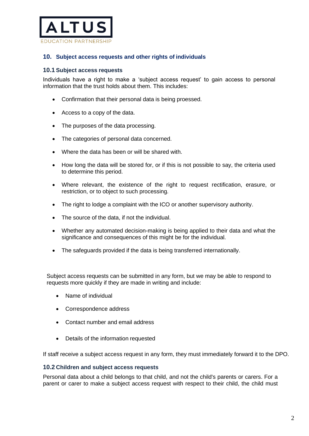

## **10. Subject access requests and other rights of individuals**

#### **10.1 Subject access requests**

Individuals have a right to make a 'subject access request' to gain access to personal information that the trust holds about them. This includes:

- Confirmation that their personal data is being proessed.
- Access to a copy of the data.
- The purposes of the data processing.
- The categories of personal data concerned.
- Where the data has been or will be shared with.
- How long the data will be stored for, or if this is not possible to say, the criteria used to determine this period.
- Where relevant, the existence of the right to request rectification, erasure, or restriction, or to object to such processing.
- The right to lodge a complaint with the ICO or another supervisory authority.
- The source of the data, if not the individual.
- Whether any automated decision-making is being applied to their data and what the significance and consequences of this might be for the individual.
- The safeguards provided if the data is being transferred internationally.

Subject access requests can be submitted in any form, but we may be able to respond to requests more quickly if they are made in writing and include:

- Name of individual
- Correspondence address
- Contact number and email address
- Details of the information requested

If staff receive a subject access request in any form, they must immediately forward it to the DPO.

#### **10.2 Children and subject access requests**

Personal data about a child belongs to that child, and not the child's parents or carers. For a parent or carer to make a subject access request with respect to their child, the child must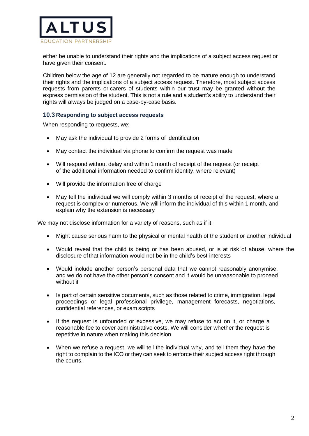

either be unable to understand their rights and the implications of a subject access request or have given their consent.

Children below the age of 12 are generally not regarded to be mature enough to understand their rights and the implications of a subject access request. Therefore, most subject access requests from parents or carers of students within our trust may be granted without the express permission of the student. This is not a rule and a student's ability to understand their rights will always be judged on a case-by-case basis.

#### **10.3 Responding to subject access requests**

When responding to requests, we:

- May ask the individual to provide 2 forms of identification
- May contact the individual via phone to confirm the request was made
- Will respond without delay and within 1 month of receipt of the request (or receipt of the additional information needed to confirm identity, where relevant)
- Will provide the information free of charge
- May tell the individual we will comply within 3 months of receipt of the request, where a request is complex or numerous. We will inform the individual of this within 1 month, and explain why the extension is necessary

We may not disclose information for a variety of reasons, such as if it:

- Might cause serious harm to the physical or mental health of the student or another individual
- Would reveal that the child is being or has been abused, or is at risk of abuse, where the disclosure ofthat information would not be in the child's best interests
- Would include another person's personal data that we cannot reasonably anonymise, and we do not have the other person's consent and it would be unreasonable to proceed without it
- Is part of certain sensitive documents, such as those related to crime, immigration, legal proceedings or legal professional privilege, management forecasts, negotiations, confidential references, or exam scripts
- If the request is unfounded or excessive, we may refuse to act on it, or charge a reasonable fee to cover administrative costs. We will consider whether the request is repetitive in nature when making this decision.
- When we refuse a request, we will tell the individual why, and tell them they have the right to complain to the ICO or they can seek to enforce their subject access right through the courts.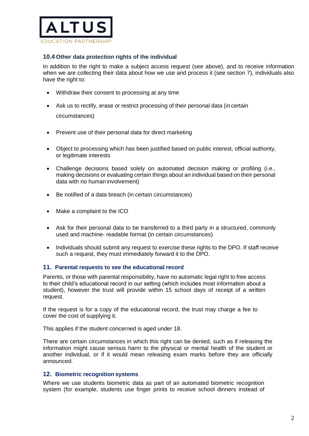

# **10.4 Other data protection rights of the individual**

In addition to the right to make a subject access request (see above), and to receive information when we are collecting their data about how we use and process it (see section 7), individuals also have the right to:

- Withdraw their consent to processing at any time
- Ask us to rectify, erase or restrict processing of their personal data (in certain circumstances)
- Prevent use of their personal data for direct marketing
- Object to processing which has been justified based on public interest, official authority, or legitimate interests
- Challenge decisions based solely on automated decision making or profiling (i.e., making decisions or evaluating certain things about an individual based on their personal data with no human involvement)
- Be notified of a data breach (in certain circumstances)
- Make a complaint to the ICO
- Ask for their personal data to be transferred to a third party in a structured, commonly used and machine- readable format (in certain circumstances)
- Individuals should submit any request to exercise these rights to the DPO. If staff receive such a request, they must immediately forward it to the DPO.

#### **11. Parental requests to see the educational record**

Parents, or those with parental responsibility, have no automatic legal right to free access to their child's educational record in our setting (which includes most information about a student), however the trust will provide within 15 school days of receipt of a written request.

If the request is for a copy of the educational record, the trust may charge a fee to cover the cost of supplying it.

This applies if the student concerned is aged under 18.

There are certain circumstances in which this right can be denied, such as if releasing the information might cause serious harm to the physical or mental health of the student or another individual, or if it would mean releasing exam marks before they are officially announced.

#### **12. Biometric recognition systems**

Where we use students biometric data as part of an automated biometric recognition system (for example, students use finger prints to receive school dinners instead of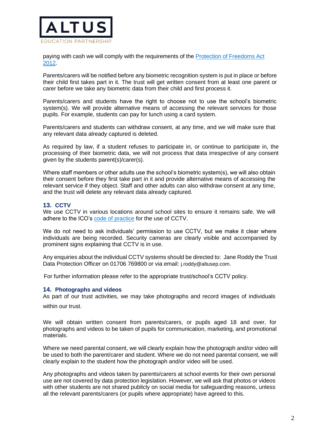

paying with cash we will comply with the requirements of the [Protection of Freedoms Act](about:blank)  [2012.](about:blank)

Parents/carers will be notified before any biometric recognition system is put in place or before their child first takes part in it. The trust will get written consent from at least one parent or carer before we take any biometric data from their child and first process it.

Parents/carers and students have the right to choose not to use the school's biometric system(s). We will provide alternative means of accessing the relevant services for those pupils. For example, students can pay for lunch using a card system.

Parents/carers and students can withdraw consent, at any time, and we will make sure that any relevant data already captured is deleted.

As required by law, if a student refuses to participate in, or continue to participate in, the processing of their biometric data, we will not process that data irrespective of any consent given by the students parent(s)/carer(s).

Where staff members or other adults use the school's biometric system(s), we will also obtain their consent before they first take part in it and provide alternative means of accessing the relevant service if they object. Staff and other adults can also withdraw consent at any time, and the trust will delete any relevant data already captured.

#### **13. CCTV**

We use CCTV in various locations around school sites to ensure it remains safe. We will adhere to the ICO's [code of practice](about:blank) for the use of CCTV.

We do not need to ask individuals' permission to use CCTV, but we make it clear where individuals are being recorded. Security cameras are clearly visible and accompanied by prominent signs explaining that CCTV is in use.

Any enquiries about the individual CCTV systems should be directed to: Jane Roddy the Trust Data Protection Officer on 01706 769800 or via email: j.roddy@altusep.com.

For further information please refer to the appropriate trust/school's CCTV policy.

#### **14. Photographs and videos**

As part of our trust activities, we may take photographs and record images of individuals

within our trust.

We will obtain written consent from parents/carers, or pupils aged 18 and over, for photographs and videos to be taken of pupils for communication, marketing, and promotional materials.

Where we need parental consent, we will clearly explain how the photograph and/or video will be used to both the parent/carer and student. Where we do not need parental consent, we will clearly explain to the student how the photograph and/or video will be used.

Any photographs and videos taken by parents/carers at school events for their own personal use are not covered by data protection legislation. However, we will ask that photos or videos with other students are not shared publicly on social media for safeguarding reasons, unless all the relevant parents/carers (or pupils where appropriate) have agreed to this.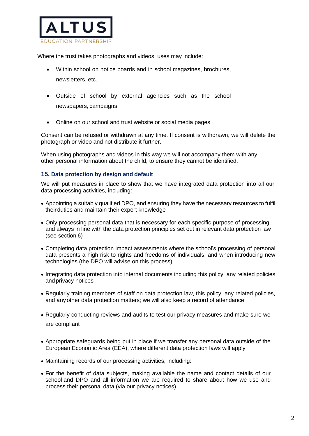

Where the trust takes photographs and videos, uses may include:

- Within school on notice boards and in school magazines, brochures, newsletters, etc.
- Outside of school by external agencies such as the school newspapers, campaigns
- Online on our school and trust website or social media pages

Consent can be refused or withdrawn at any time. If consent is withdrawn, we will delete the photograph or video and not distribute it further.

When using photographs and videos in this way we will not accompany them with any other personal information about the child, to ensure they cannot be identified.

# **15. Data protection by design and default**

We will put measures in place to show that we have integrated data protection into all our data processing activities, including:

- Appointing a suitably qualified DPO, and ensuring they have the necessary resources to fulfil theirduties and maintain their expert knowledge
- Only processing personal data that is necessary for each specific purpose of processing, and always in line with the data protection principles set out in relevant data protection law (see section 6)
- Completing data protection impact assessments where the school's processing of personal data presents a high risk to rights and freedoms of individuals, and when introducing new technologies (the DPO will advise on this process)
- Integrating data protection into internal documents including this policy, any related policies and privacy notices
- Regularly training members of staff on data protection law, this policy, any related policies, and anyother data protection matters; we will also keep a record of attendance
- Regularly conducting reviews and audits to test our privacy measures and make sure we are compliant
- Appropriate safeguards being put in place if we transfer any personal data outside of the European Economic Area (EEA), where different data protection laws will apply
- Maintaining records of our processing activities, including:
- For the benefit of data subjects, making available the name and contact details of our school and DPO and all information we are required to share about how we use and process their personal data (via our privacy notices)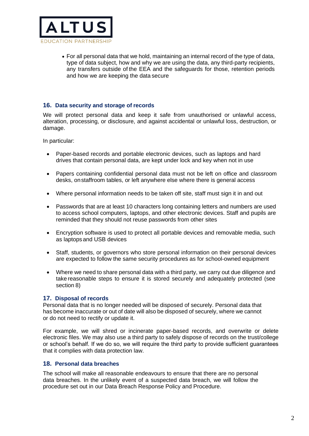

• For all personal data that we hold, maintaining an internal record of the type of data, type of data subject, how and why we are using the data, any third-party recipients, any transfers outside of the EEA and the safeguards for those, retention periods and how we are keeping the data secure

#### **16. Data security and storage of records**

We will protect personal data and keep it safe from unauthorised or unlawful access, alteration, processing, or disclosure, and against accidental or unlawful loss, destruction, or damage.

In particular:

- Paper-based records and portable electronic devices, such as laptops and hard drives that contain personal data, are kept under lock and key when not in use
- Papers containing confidential personal data must not be left on office and classroom desks, onstaffroom tables, or left anywhere else where there is general access
- Where personal information needs to be taken off site, staff must sign it in and out
- Passwords that are at least 10 characters long containing letters and numbers are used to access school computers, laptops, and other electronic devices. Staff and pupils are reminded that they should not reuse passwords from other sites
- Encryption software is used to protect all portable devices and removable media, such as laptops and USB devices
- Staff, students, or governors who store personal information on their personal devices are expected to follow the same security procedures as for school-owned equipment
- Where we need to share personal data with a third party, we carry out due diligence and take reasonable steps to ensure it is stored securely and adequately protected (see section 8)

#### **17. Disposal of records**

Personal data that is no longer needed will be disposed of securely. Personal data that has become inaccurate or out of date will also be disposed of securely, where we cannot or do not need to rectify or update it.

For example, we will shred or incinerate paper-based records, and overwrite or delete electronic files. We may also use a third party to safely dispose of records on the trust/college or school's behalf. If we do so, we will require the third party to provide sufficient guarantees that it complies with data protection law.

#### **18. Personal data breaches**

The school will make all reasonable endeavours to ensure that there are no personal data breaches. In the unlikely event of a suspected data breach, we will follow the procedure set out in our Data Breach Response Policy and Procedure.